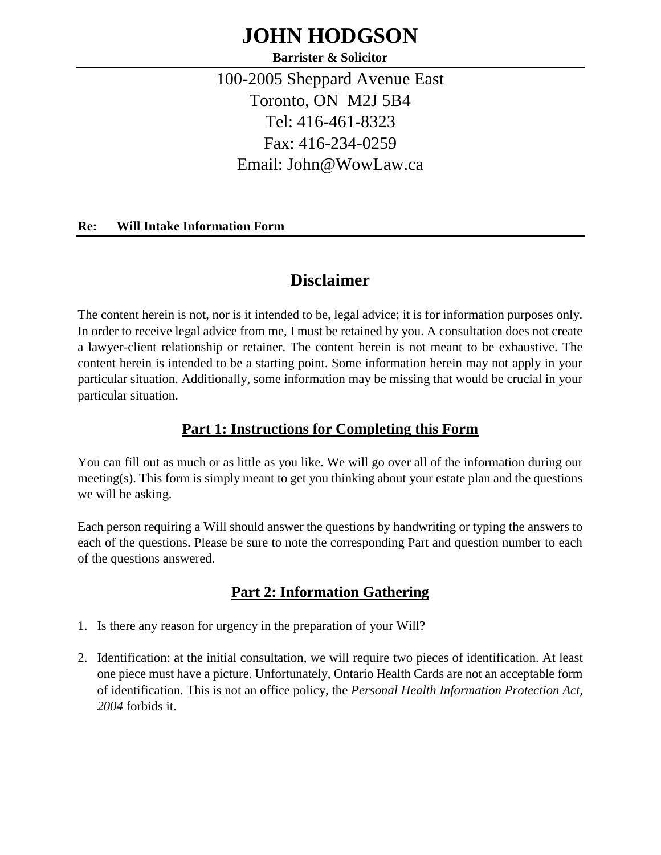# **JOHN HODGSON**

**Barrister & Solicitor**

100-2005 Sheppard Avenue East Toronto, ON M2J 5B4 Tel: 416-461-8323 Fax: 416-234-0259 Email: John@WowLaw.ca

#### **Re: Will Intake Information Form**

# **Disclaimer**

The content herein is not, nor is it intended to be, legal advice; it is for information purposes only. In order to receive legal advice from me, I must be retained by you. A consultation does not create a lawyer-client relationship or retainer. The content herein is not meant to be exhaustive. The content herein is intended to be a starting point. Some information herein may not apply in your particular situation. Additionally, some information may be missing that would be crucial in your particular situation.

### **Part 1: Instructions for Completing this Form**

You can fill out as much or as little as you like. We will go over all of the information during our meeting(s). This form is simply meant to get you thinking about your estate plan and the questions we will be asking.

Each person requiring a Will should answer the questions by handwriting or typing the answers to each of the questions. Please be sure to note the corresponding Part and question number to each of the questions answered.

# **Part 2: Information Gathering**

- 1. Is there any reason for urgency in the preparation of your Will?
- 2. Identification: at the initial consultation, we will require two pieces of identification. At least one piece must have a picture. Unfortunately, Ontario Health Cards are not an acceptable form of identification. This is not an office policy, the *Personal Health Information Protection Act, 2004* forbids it.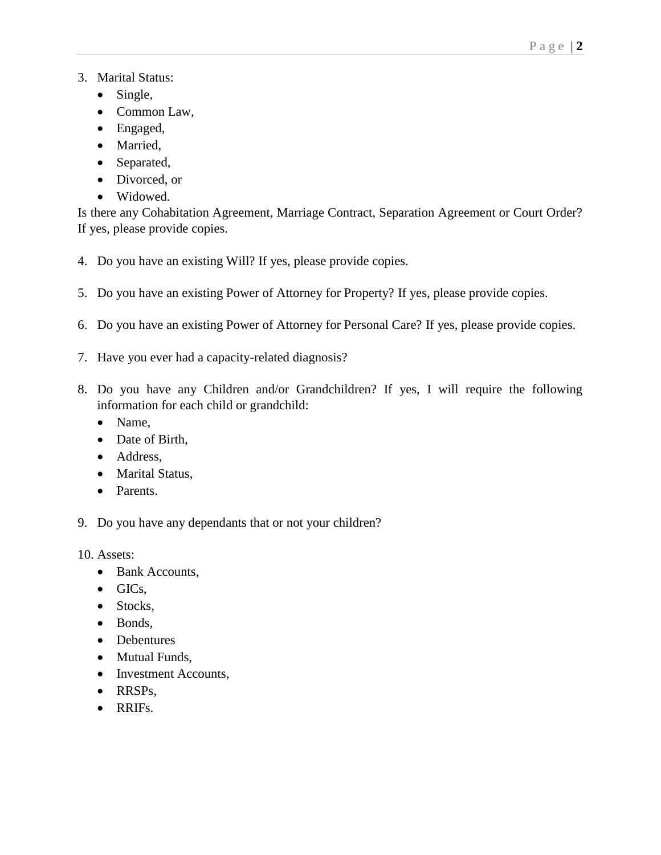#### 3. Marital Status:

- Single,
- Common Law,
- Engaged,
- Married,
- Separated,
- Divorced, or
- Widowed.

Is there any Cohabitation Agreement, Marriage Contract, Separation Agreement or Court Order? If yes, please provide copies.

- 4. Do you have an existing Will? If yes, please provide copies.
- 5. Do you have an existing Power of Attorney for Property? If yes, please provide copies.
- 6. Do you have an existing Power of Attorney for Personal Care? If yes, please provide copies.
- 7. Have you ever had a capacity-related diagnosis?
- 8. Do you have any Children and/or Grandchildren? If yes, I will require the following information for each child or grandchild:
	- Name,
	- Date of Birth,
	- Address,
	- Marital Status,
	- Parents.
- 9. Do you have any dependants that or not your children?

10. Assets:

- Bank Accounts,
- GICs,
- Stocks,
- Bonds,
- Debentures
- Mutual Funds,
- Investment Accounts,
- RRSPs,
- RRIFs.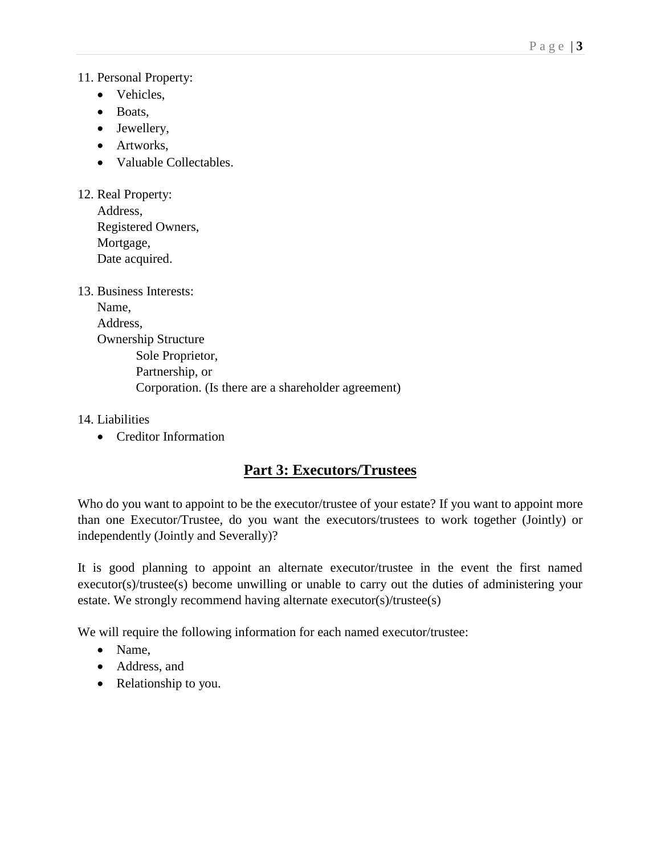#### 11. Personal Property:

- Vehicles,
- Boats,
- Jewellery,
- Artworks,
- Valuable Collectables.

| 12. Real Property: |
|--------------------|
| Address,           |
| Registered Owners, |
| Mortgage,          |
| Date acquired.     |

| 13. Business Interests: |                                                     |
|-------------------------|-----------------------------------------------------|
| Name,                   |                                                     |
| Address,                |                                                     |
|                         | <b>Ownership Structure</b>                          |
|                         | Sole Proprietor,                                    |
|                         | Partnership, or                                     |
|                         | Corporation. (Is there are a shareholder agreement) |
|                         |                                                     |

#### 14. Liabilities

• Creditor Information

# **Part 3: Executors/Trustees**

Who do you want to appoint to be the executor/trustee of your estate? If you want to appoint more than one Executor/Trustee, do you want the executors/trustees to work together (Jointly) or independently (Jointly and Severally)?

It is good planning to appoint an alternate executor/trustee in the event the first named executor(s)/trustee(s) become unwilling or unable to carry out the duties of administering your estate. We strongly recommend having alternate executor(s)/trustee(s)

We will require the following information for each named executor/trustee:

- Name.
- Address, and
- Relationship to you.